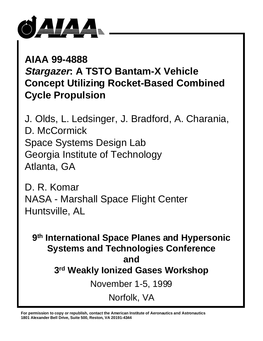

**AIAA 99-4888 Stargazer: A TSTO Bantam-X Vehicle Concept Utilizing Rocket-Based Combined Cycle Propulsion**

J. Olds, L. Ledsinger, J. Bradford, A. Charania, D. McCormick Space Systems Design Lab Georgia Institute of Technology Atlanta, GA

D. R. Komar NASA - Marshall Space Flight Center Huntsville, AL

**9th International Space Planes and Hypersonic Systems and Technologies Conference and 3rd Weakly Ionized Gases Workshop** November 1-5, 1999 Norfolk, VA

**For permission to copy or republish, contact the American Institute of Aeronautics and Astronautics 1801 Alexander Bell Drive, Suite 500, Reston, VA 20191-4344**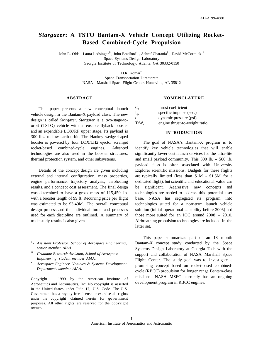# *Stargazer***: A TSTO Bantam-X Vehicle Concept Utilizing Rocket-Based Combined-Cycle Propulsion**

John R. Olds† , Laura Ledsinger††, John Bradford††, Ashraf Charania††, David McCormick†† Space Systems Design Laboratory Georgia Institute of Technology, Atlanta, GA 30332-0150

D.R. Komar<sup>\*</sup>

Space Transportation Directorate NASA - Marshall Space Flight Center, Huntsville, AL 35812

#### **ABSTRACT**

This paper presents a new conceptual launch vehicle design in the Bantam-X payload class. The new design is called *Stargazer*. *Stargazer* is a two-stage-toorbit (TSTO) vehicle with a reusable flyback booster and an expendable LOX/RP upper stage. Its payload is 300 lbs. to low earth orbit. The Hankey wedge-shaped booster is powered by four LOX/LH2 ejector scramjet rocket-based combined-cycle engines. Advanced technologies are also used in the booster structures, thermal protection system, and other subsystems.

Details of the concept design are given including external and internal configuration, mass properties, engine performance, trajectory analysis, aeroheating results, and a concept cost assessment. The final design was determined to have a gross mass of 115,450 lb. with a booster length of 99 ft. Recurring price per flight was estimated to be \$3.49M. The overall conceptual design process and the individual tools and processes used for each discipline are outlined. A summary of trade study results is also given.

- ††  *Graduate Research Assistant, School of Aerospace Engineering, student member AIAA.*
- \*  *Aerospace Engineer, Vehicles & Systems Development Department, member AIAA.*

Copyright  $\oslash$  1999 by the American Institute of Aeronautics and Astronautics, Inc. No copyright is asserted in the United States under Title 17, U.S. Code. The U.S. Government has a royalty-free license to exercise all rights under the copyright claimed herein for government purposes. All other rights are reserved for the copyright owner.

#### **NOMENCLATURE**

| C.             | thrust coefficient            |
|----------------|-------------------------------|
| $I_{sp}$       | specific impulse (sec.)       |
| a              | dynamic pressure (psf)        |
| $T/W_{\alpha}$ | engine thrust-to-weight ratio |

#### **INTRODUCTION**

The goal of NASA's Bantam-X program is to identify key vehicle technologies that will enable significantly lower cost launch services for the ultra-lite and small payload community. This 300 lb. – 500 lb. payload class is often associated with University Explorer scientific missions. Budgets for these flights are typically limited (less than \$1M - \$1.5M for a dedicated flight), but scientific and educational value can be significant. Aggressive new concepts and technologies are needed to address this potential user base. NASA has segregated its program into technologies suited for a near-term launch vehicle solution (initial operational capability before 2005) and those more suited for an IOC around 2008 – 2010. Airbreathing propulsion technologies are included in the latter set.

This paper summarizes part of an 18 month Bantam-X concept study conducted by the Space Systems Design Laboratory at Georgia Tech with the support and collaboration of NASA Marshall Space Flight Center. The study goal was to investigate a promising concept based on rocket-based combinedcycle (RBCC) propulsion for longer range Bantam-class missions. NASA MSFC currently has an ongoing development program in RBCC engines.

<sup>†</sup>  *- Assistant Professor, School of Aerospace Engineering, senior member AIAA.*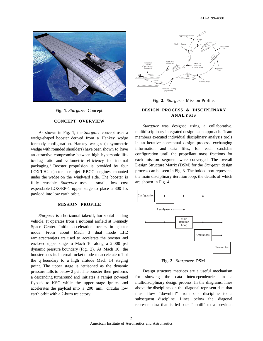

**Fig. 1**. *Stargazer* Concept.

# **CONCEPT OVERVIEW**

As shown in Fig. 1, the *Stargazer* concept uses a wedge-shaped booster derived from a Hankey wedge forebody configuration. Hankey wedges (a symmetric wedge with rounded shoulders) have been shown to have an attractive compromise between high hypersonic liftto-drag ratio and volumetric efficiency for internal packaging.1 Booster propulsion is provided by four LOX/LH2 ejector scramjet RBCC engines mounted under the wedge on the windward side. The booster is fully reusable. *Stargazer* uses a small, low cost expendable LOX/RP-1 upper stage to place a 300 lb. payload into low earth orbit.

### **MISSION PROFILE**

*Stargazer* is a horizontal takeoff, horizontal landing vehicle. It operates from a notional airfield at Kennedy Space Center. Initial acceleration occurs in ejector mode. From about Mach 3 dual mode LH2 ramjet/scramjets are used to accelerate the booster and enclosed upper stage to Mach 10 along a 2,000 psf dynamic pressure boundary (Fig. 2). At Mach 10, the booster uses its internal rocket mode to accelerate off of the q boundary to a high altitude Mach 14 staging point. The upper stage is jettisoned as the dynamic pressure falls to below 2 psf. The booster then performs a descending turnaround and initiates a ramjet powered flyback to KSC while the upper stage ignites and accelerates the payload into a 200 nmi. circular low earth orbit with a 2-burn trajectory.



**Fig. 2**. *Stargazer* Mission Profile.

# **DESIGN PROCESS & DISCIPLINARY ANALYSIS**

*Stargazer* was designed using a collaborative, multidisciplinary integrated design team approach. Team members executed individual disciplinary analysis tools in an iterative conceptual design process, exchanging information and data files, for each candidate configuration until the propellant mass fractions for each mission segment were converged. The overall Design Structure Matrix (DSM) for the *Stargazer* design process can be seen in Fig. 3. The bolded box represents the main disciplinary iteration loop, the details of which are shown in Fig. 4.



**Fig. 3**. *Stargazer* DSM.

Design structure matrices are a useful mechanism for showing the data interdependencies in multidisciplinary design process. In the diagrams, lines above the disciplines on the diagonal represent data that must flow "downhill" from one discipline to a subsequent discipline. Lines below the diagonal represent data that is fed back "uphill" to a previous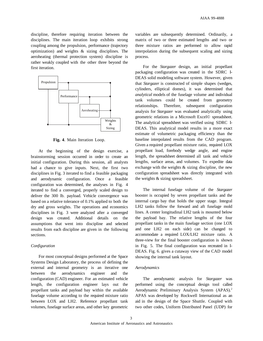discipline, therefore requiring iteration between the disciplines. The main iteration loop exhibits strong coupling among the propulsion, performance (trajectory optimization) and weights & sizing disciplines. The aeroheating (thermal protection system) discipline is rather weakly coupled with the other three beyond the first iteration.



**Fig. 4**. Main Iteration Loop.

At the beginning of the design exercise, a brainstorming session occurred in order to create an initial configuration. During this session, all analysts had a chance to give inputs. Next, the first two disciplines in Fig. 3 iterated to find a feasible packaging and aerodynamic configuration. Once a feasible configuration was determined, the analyses in Fig. 4 iterated to find a converged, properly scaled design to deliver the 300 lb. payload. Vehicle convergence was based on a relative tolerance of 0.1% applied to both the dry and gross weights. The operations and economics disciplines in Fig. 3 were analyzed after a converged design was created. Additional details on the assumptions that went into discipline and selected results from each discipline are given in the following sections.

# *Configuration*

For most conceptual designs performed at the Space Systems Design Laboratory, the process of defining the external and internal geometry is an iterative one between the aerodynamics engineer and the configuration (CAD) engineer. For an estimated vehicle length, the configuration engineer lays out the propellant tanks and payload bay within the available fuselage volume according to the required mixture ratio between LOX and LH2. Reference propellant tank volumes, fuselage surface areas, and other key geometric

variables are subsequently determined. Ordinarily, a matrix of two or three estimated lengths and two or three mixture ratios are performed to allow rapid interpolation during the subsequent scaling and sizing process.

For the *Stargazer* design, an initial propellant packaging configuration was created in the SDRC I-DEAS solid modeling software system. However, given that *Stargazer* is constructed of simple shapes (wedges, cylinders, elliptical domes), it was determined that *analytical* models of the fuselage volume and individual tank volumes could be created from geometry relationships. Therefore, subsequent configuration analysis for *Stargazer* was evaluated analytically using geometric relations in a Microsoft Excel© spreadsheet. The analytical spreadsheet was verified using SDRC I-DEAS. This analytical model results in a more exact estimate of volumetric packaging efficiency than the baseline interpolated results from the CAD program. Given a required propellant mixture ratio, required LOX propellant load, forebody wedge angle, and engine length, the spreadsheet determined all tank and vehicle lengths, surface areas, and volumes. To expedite data exchange with the weights  $\&$  sizing discipline, the new configuration spreadsheet was directly integrated with the weights & sizing spreadsheet.

The internal fuselage volume of the *Stargazer* booster is occupied by seven propellant tanks and the internal cargo bay that holds the upper stage. Integral LH2 tanks follow the forward and aft fuselage mold lines. A center longitudinal LH2 tank is mounted below the payload bay. The relative lengths of the four propellant tanks in the main fuselage section (one LOX and one LH2 on each side) can be changed to accommodate a required LOX/LH2 mixture ratio. A three-view for the final booster configuration is shown in Fig. 5. The final configuration was recreated in I-DEAS. Fig. 6. gives a cutaway view of the CAD model showing the internal tank layout.

### *Aerodynamics*

The aerodynamic analysis for *Stargazer* was performed using the conceptual design tool called Aerodynamic Preliminary Analysis System (APAS).2 APAS was developed by Rockwell International as an aid in the design of the Space Shuttle. Coupled with two other codes, Uniform Distributed Panel (UDP) for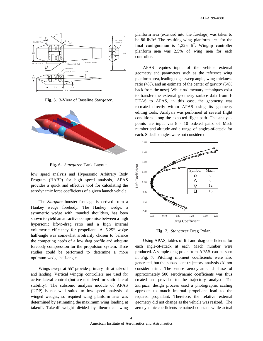

**Fig. 5**. 3-View of Baseline *Stargazer*.



**Fig. 6.** *Stargazer* Tank Layout.

low speed analysis and Hypersonic Arbitrary Body Program (HABP) for high speed analysis, APAS provides a quick and effective tool for calculating the aerodynamic force coefficients of a given launch vehicle.

The *Stargazer* booster fuselage is derived from a Hankey wedge forebody. The Hankey wedge, a symmetric wedge with rounded shoulders, has been shown to yield an attractive compromise between a high hypersonic lift-to-drag ratio and a high internal volumetric efficiency for propellant. A 5.25° wedge half-angle was somewhat arbitrarily chosen to balance the competing needs of a low drag profile and adequate forebody compression for the propulsion system. Trade studies could be performed to determine a more optimum wedge half-angle.

Wings swept at 55° provide primary lift at takeoff and landing. Vertical wingtip controllers are used for active lateral control (but are not sized for static lateral stability). The subsonic analysis module of APAS (UDP) is not well suited to low speed analysis of winged wedges, so required wing planform area was determined by estimating the maximum wing loading at takeoff. Takeoff weight divided by theoretical wing

planform area (extended into the fuselage) was taken to be 86 lb/ft<sup>2</sup>. The resulting wing planform area for the final configuration is  $1,325 \text{ ft}^2$ . Wingtip controller planform area was 2.5% of wing area for each controller.

APAS requires input of the vehicle external geometry and parameters such as the reference wing planform area, leading edge sweep angle, wing thickness ratio (4%), and an estimate of the center of gravity (54% back from the nose). While rudimentary techniques exist to transfer the external geometry surface data from I-DEAS to APAS, in this case, the geometry was recreated directly within APAS using its geometry editing tools. Analysis was performed at several flight conditions along the expected flight path. The analysis points are input via 8 - 10 ordered pairs of Mach number and altitude and a range of angles-of-attack for each. Sideslip angles were not considered.



**Fig. 7.** *Stargazer* Drag Polar.

Using APAS, tables of lift and drag coefficients for each angle-of-attack at each Mach number were produced. A sample drag polar from APAS can be seen in Fig. 7. Pitching moment coefficients were also generated, but the subsequent trajectory analysis did not consider trim. The entire aerodynamic database of approximately 500 aerodynamic coefficients was thus created and provided to the trajectory analyst. The *Stargazer* design process used a photographic scaling approach to match internal propellant load to the required propellant. Therefore, the relative external geometry did not change as the vehicle was resized. The aerodynamic coefficients remained constant while actual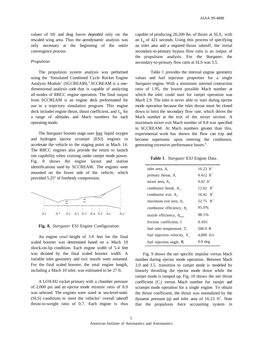values of lift and drag forces depended only on the rescaled wing area. Thus the aerodynamic analysis was only necessary at the beginning of the entire convergence process.

### *Propulsion*

The propulsion system analysis was performed using the 'Simulated Combined Cycle Rocket Engine Analysis Module' (SCCREAM).<sup>3</sup> SCCREAM is a onedimensional analysis code that is capable of analyzing all modes of RBCC engine operation. The final output from SCCREAM is an engine deck preformatted for use in a trajectory simulation program. This engine deck includes engine thrust, thrust coefficient, and  $I_{so}$  for a range of altitudes and Mach numbers for each operating mode.

The *Stargazer* booster stage uses four liquid oxygen and hydrogen ejector scramjet (ESJ) engines to accelerate the vehicle to the staging point at Mach 14. The RBCC engines also provide the return to launch site capability when cruising under ramjet mode power. Fig. 8 shows the engine layout and station identifications used by SCCREAM. The engines were mounted on the lower side of the vehicle, which provided 5.25° of forebody compression.



**Fig. 8.** *Stargazer* ESJ Engine Configuration.

An engine cowl height of 3.0 feet for the final scaled booster was determined based on a Mach 10 shock-on-lip condition. Each engine width of 5.4 feet was dictated by the final scaled booster width. A variable inlet geometry and exit nozzle were assumed. For the final scaled booster, the total engine length, including a Mach 10 inlet, was estimated to be 27 ft.

A LOX/H2 rocket primary with a chamber pressure of 2,000 psi and an ejector mode mixture ratio of 8.0 was selected. The engines were sized at sea-level-static (SLS) conditions to meet the vehicles' overall takeoff thrust-to-weight ratio of 0.7. Each engine is thus capable of producing 20,200 lbs. of thrust at SLS, with an  $I_{sp}$  of 421 seconds. Using this process of specifying an inlet area and a required thrust takeoff, the initial secondary-to-primary bypass flow ratio is an output of the propulsion analysis. For the *Stargazer*, the secondary-to-primary flow ratio at SLS was 3.5.

Table 1 provides the internal engine geometry values and fuel injection properties for a single *Stargazer* engine. With a minimum internal contraction ratio of 1.95, the lowest possible Mach number at which the inlet could start for ramjet operation was Mach 2.9. The inlet is never able to start during ejector mode operation because the inlet throat must be closed down to limit the secondary flow rate, which drives the Mach number at the exit of the mixer section. A maximum mixer exit Mach number of 0.8 was specified in SCCREAM. At Mach numbers greater than this, experimental work has shown the flow can trip and become supersonic upon entering the combustor, generating excessive performance losses.4

**Table 1**. *Stargazer* ESJ Engine Data.

| inlet area, $A_1$                      | 16.23 $ft^2$            |
|----------------------------------------|-------------------------|
| primary throat, A.                     | $0.412$ ft <sup>2</sup> |
| mixer area, A,                         | 9.02 $ft^2$             |
| combustor break, $A_{\alpha}$          | $12.62$ ft <sup>2</sup> |
| combustor exit, $A_4$                  | 16.42 $ft^2$            |
| maximum exit area, A <sub>s</sub>      | 52.75 $ft^2$            |
| combustor efficiency, $\eta_c$         | 95.0%                   |
| nozzle efficiency, $\eta_{\text{max}}$ | 98.5%                   |
| friction coefficient, f                | 0.001                   |
| fuel inlet temperature, $T_{\rm f}$    | 500.0 R                 |
| fuel injection velocity, $V_f$         | 4,000 $ft/s$            |
| fuel injection angle, $\theta$ .       | $0.0$ deg               |

Fig. 9 shows the net specific impulse versus Mach number during ejector mode operation. Between Mach 3.0 and 3.5, transition to ramjet mode is modeled by linearly throttling the ejector mode down while the ramjet mode is ramped up. Fig. 10 shows the net thrust coefficient  $(C_t)$  versus Mach number for ramjet and scramjet mode operation for a single engine. To obtain the thrust coefficient, the thrust was normalized by the dynamic pressure (q) and inlet area of  $16.23 \text{ ft}^2$ . Note that the propulsion force accounting system in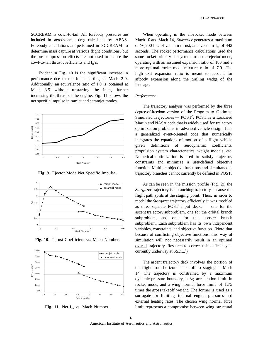SCCREAM is cowl-to-tail. All forebody pressures are included in aerodynamic drag calculated by APAS. Forebody calculations are performed in SCCREAM to determine mass capture at various flight conditions, but the pre-compression effects are not used to reduce the cowl-to-tail thrust coefficients and  $I_{\rm sn}$ 's.

Evident in Fig. 10 is the significant increase in performance due to the inlet starting at Mach 2.9. Additionally, an equivalence ratio of 1.0 is obtained at Mach 3.5 without unstarting the inlet, further increasing the thrust of the engine. Fig. 11 shows the net specific impulse in ramjet and scramjet modes.



**Fig. 9**. Ejector Mode Net Specific Impulse.



**Fig. 10**. Thrust Coefficient vs. Mach Number.



**Fig. 11.** Net I<sub>sp</sub> vs. Mach Number.

When operating in the all-rocket mode between Mach 10 and Mach 14, *Stargazer* generates a maximum of 76,700 lbs. of vacuum thrust, at a vacuum  $I_{sn}$  of 442 seconds. The rocket performance calculations used the same rocket primary subsystem from the ejector mode, operating with an assumed expansion ratio of 180 and a more optimal rocket-mode mixture ratio of 7.0. The high exit expansion ratio is meant to account for aftbody expansion along the trailing wedge of the fuselage.

#### *Performance*

The trajectory analysis was performed by the three degree-of-freedom version of the Program to Optimize Simulated Trajectories - POST<sup>5</sup>. POST is a Lockheed Martin and NASA code that is widely used for trajectory optimization problems in advanced vehicle design. It is a generalized event-oriented code that numerically integrates the equations of motion of a flight vehicle given definitions of aerodynamic coefficients, propulsion system characteristics, weight models, etc. Numerical optimization is used to satisfy trajectory constraints and minimize a user-defined objective function. Multiple objective functions and simultaneous trajectory branches cannot currently be defined in POST.

As can be seen in the mission profile (Fig. 2), the *Stargazer* trajectory is a branching trajectory because the flight path splits at the staging point. Thus, in order to model the *Stargazer* trajectory efficiently it was modeled as three separate POST input decks — one for the ascent trajectory subproblem, one for the orbital branch subproblem, and one for the booster branch subproblem. Each subproblem has its own independent variables, constraints, and objective function. (Note that because of conflicting objective functions, this way of simulation will not necessarily result in an optimal overall trajectory. Research to correct this deficiency is currently underway at SSDL.<sup>6</sup>)

The ascent trajectory deck involves the portion of the flight from horizontal take-off to staging at Mach 14. The trajectory is constrained by a maximum dynamic pressure boundary, a 3g acceleration limit in rocket mode, and a wing normal force limit of 1.75 times the gross takeoff weight. The former is used as a surrogate for limiting internal engine pressures and external heating rates. The chosen wing normal force limit represents a compromise between wing structural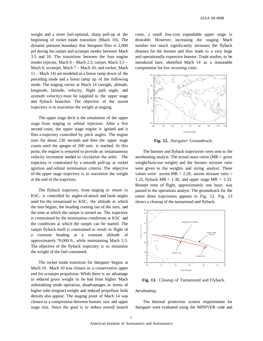weight and a more fuel-optimal, sharp pull-up at the beginning of rocket mode transition (Mach 10). The dynamic pressure boundary that *Stargazer* flies is 2,000 psf during the ramjet and scramjet modes between Mach 3.5 and 10. The transitions between the four engine modes (ejector, Mach 0 – Mach 2.5; ramjet, Mach 3.5 – Mach 6; scramjet, Mach 7 – Mach 10; and rocket, Mach 11 – Mach 14) are modeled as a linear ramp down of the preceding mode and a linear ramp up of the following mode. The staging vector at Mach 14 (weight, altitude, longitude, latitude, velocity, flight path angle, and azimuth velocity) must be supplied to the upper stage and flyback branches. The objective of the ascent trajectory is to maximize the weight at staging.

The upper stage deck is the simulation of the upper stage from staging to orbital injection. After a five second coast, the upper stage engine is ignited and it flies a trajectory controlled by pitch angles. The engine runs for about 230 seconds and then the upper stage coasts until the apogee of 200 nmi. is reached. At this point, the engine is restarted to provide an instantaneous velocity increment needed to circularize the orbit. The trajectory is constrained by a smooth pull-up at rocket ignition and orbital termination criteria. The objective of the upper stage trajectory is to maximize the weight at the end of the trajectory.

The flyback trajectory, from staging to return to KSC, is controlled by angles-of-attack and bank angles used for the turnaround to KSC, the altitude at which the turn begins, the heading coming out of the turn, and the time at which the ramjet is turned on. The trajectory is constrained by the termination conditions at KSC and the conditions at which the ramjet can be started. The ramjet flyback itself is constrained to result in flight of a constant heading at a constant altitude of approximately 70,000 ft., while maintaining Mach 3.5. The objective of the flyback trajectory is to minimize the weight of the fuel consumed.

The rocket mode transition for *Stargazer* begins at Mach 10. Mach 10 was chosen as a conservative upper end for scramjet propulsion. While there is an advantage in reduced gross weight to be had from higher Mach airbreathing mode operation, disadvantages in terms of higher inlet (engine) weight and reduced propellant bulk density also appear. The staging point of Mach 14 was chosen as a compromise between booster size and upper stage size. Since the goal is to reduce overall launch

costs, a small low-cost expendable upper stage is desirable. However, increasing the staging Mach number too much significantly increases the flyback distance for the booster and thus leads to a very large and operationally expensive booster. Trade studies, to be introduced later, identified Mach 14 as a reasonable compromise for low recurring costs.



**Fig. 12.** *Stargazer* Groundtrack.

The booster and flyback trajectories were sent to the aeroheating analyst. The actual mass ratios ( $MR =$  gross weight/burn-out weight) and the booster mixture ratio were given to the weights and sizing analyst. These values were: ascent MR =  $2.28$ , ascent mixture ratio = 1.32, flyback  $MR = 1.38$ , and upper stage  $MR = 3.33$ . Booster time of flight, approximately one hour, was passed to the operations analyst. The groundtrack for the entire three trajectories appears in Fig. 12. Fig. 13 shows a closeup of the turnaround and flyback.



**Fig. 13.** Closeup of Turnaround and Flyback.

# *Aeroheating*

The thermal protection system requirements for *Stargazer* were evaluated using the MINIVER code and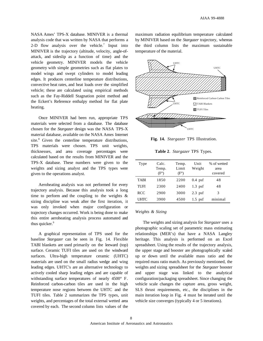NASA Ames' TPS-X database. MINIVER is a thermal analysis code that was written by NASA that performs a 2-D flow analysis over the vehicle.<sup>7</sup> Input into MINIVER is the trajectory (altitude, velocity, angle-ofattack, and sideslip as a function of time) and the vehicle geometry. MINIVER models the vehicle geometry with simple geometries such as flat plates to model wings and swept cylinders to model leading edges. It produces centerline temperature distributions, convective heat rates, and heat loads over the simplified vehicle; these are calculated using empirical methods such as the Fay-Riddell Stagnation point method and the Eckert's Reference enthalpy method for flat plate heating.

Once MINIVER had been run, appropriate TPS materials were selected from a database. The database chosen for the *Stargazer* design was the NASA TPS-X material database, available on the NASA Ames Internet site.<sup>8</sup> Given the centerline temperature distributions, TPS materials were chosen. TPS unit weights, thicknesses, and area coverage percentages were calculated based on the results from MINIVER and the TPS-X database. These numbers were given to the weights and sizing analyst and the TPS types were given to the operations analyst.

Aeroheating analysis was not performed for every trajectory analysis. Because this analysis took a long time to perform and the coupling to the weights  $\&$ sizing discipline was weak after the first iteration, it was only invoked when major configuration or trajectory changes occurred. Work is being done to make this entire aeroheating analysis process automated and thus quicker.<sup>9</sup>

A graphical representation of TPS used for the baseline *Stargazer* can be seen in Fig. 14. Flexible TABI blankets are used primarily on the leeward (top) surface. Ceramic TUFI tiles are used on the windward surfaces. Ultra-high temperature ceramic (UHTC) materials are used on the small radius wedge and wing leading edges. UHTC's are an alternative technology to actively cooled sharp leading edges and are capable of withstanding surface temperatures of nearly 4500° F. Reinforced carbon-carbon tiles are used in the high temperature nose regions between the UHTC and the TUFI tiles. Table 2 summarizes the TPS types, unit weights, and percentages of the total external wetted area covered by each. The second column lists values of the

maximum radiation equilibrium temperature calculated by MINIVER based on the *Stargazer* trajectory, whereas the third column lists the maximum sustainable temperature of the material.



**Fig. 14.** *Stargazer* TPS Illustration.

|  | Table 2. Stargazer TPS Types. |  |  |
|--|-------------------------------|--|--|
|--|-------------------------------|--|--|

| Type        | Calc.<br>Temp.<br>$(F^{\circ})$ | Temp.<br>Limit<br>$(F^{\circ})$ | Unit<br>Weight | % of wetted<br>area<br>covered |
|-------------|---------------------------------|---------------------------------|----------------|--------------------------------|
| <b>TABI</b> | 1850                            | 2200                            | $0.4$ psf      | 48                             |
| TUFI        | 2300                            | 2400                            | $1.3$ psf      | 48                             |
| <b>RCC</b>  | 2900                            | 3000                            | $2.3$ psf      | 3                              |
| UHTC        | 3900                            | 4500                            | $1.5$ psf      | minimal                        |

# *Weights & Sizing*

The weights and sizing analysis for *Stargazer* uses a photographic scaling set of parametric mass estimating relationships (MER's) that have a NASA Langley heritage. This analysis is performed on an Excel spreadsheet. Using the results of the trajectory analysis, the upper stage and booster are photographically scaled up or down until the available mass ratio and the required mass ratio match. As previously mentioned, the weights and sizing spreadsheet for the *Stargazer* booster and upper stage was linked to the analytical configuration/packaging spreadsheet. Since changing the vehicle scale changes the capture area, gross weight, SLS thrust requirements, etc., the disciplines in the main iteration loop in Fig. 4 must be iterated until the vehicle size converges (typically 4 or 5 iterations).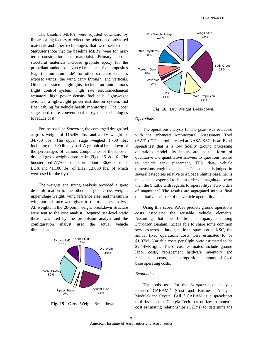The baseline MER's were adjusted downward by linear scaling factors to reflect the selection of advanced materials and other technologies that were selected for *Stargazer* (note that the baseline MER's were for nearterm construction and materials). Primary booster structural materials included graphite epoxy for the propellant tanks and advanced metal matrix composites (e.g. titanium-aluminide) for other structure such as exposed wings, the wing carry through, and verticals. Other subsystem highlights include an autonomous flight control system, high rate electromechanical actuators, high power density fuel cells, lightweight avionics, a lightweight power distribution system, and fiber cabling for vehicle health monitoring. The upper stage used more conventional subsystem technologies to reduce cost.

For the baseline *Stargazer*, the converged design had a gross weight of 115,450 lbs. and a dry weight of 34,750 lbs. The upper stage weighed 1,750 lbs. including the 300 lb. payload. A graphical breakdown of the percentages of various components of the booster dry and gross weights appears in Figs. 15 & 16. The booster used 77,700 lbs. of propellant: 36,600 lbs. of LOX and 41,100 lbs. of LH2, 13,000 lbs. of which were used for the flyback.

The weights and sizing analysis provided a great deal information to the other analysts. Gross weight, upper stage weight, wing reference area, and maximum wing normal force were given to the trajectory analyst. All weights in the 28-point weight breakdown structure were sent to the cost analyst. Required sea-level static thrust was used by the propulsion analyst and the configuration analyst used the actual vehicle dimensions.



**Fig. 15**. Gross Weight Breakdown.



**Fig. 16**. Dry Weight Breakdown.

#### *Operations*

The operations analysis for *Stargazer* was evaluated with the enhanced Architectural Assessment Tool (AATe).10 This tool, created at NASA KSC, is an Excel spreadsheet that is a low fidelity ground processing operations model. Its inputs are in the form of qualitative and quantitative answers to questions related to vehicle tank placement, TPS data, vehicle dimensions, engine details, etc. The concept is judged in several categories relative to a Space Shuttle baseline. Is the concept expected to be an order of magnitude better than the Shuttle with regards to operability? Two orders of magnitude? The results are aggregated into a final quantitative measure of the vehicle operability.

Using this score, AATe predicts ground operations costs associated the reusable vehicle elements. Assuming that the fictitious company operating *Stargazer* (Bantam, Inc.) is able to share some common services across a larger, notional spaceport at KSC, the annual fixed operations costs were estimated to be \$1.97M. Variable costs per flight were estimated to be \$2.14M/flight. These cost estimates include ground labor costs, replacement hardware inventory and replacement costs, and a proportional amount of fixed base operating costs.

#### *Economics*

The tools used for the *Stargazer* cost analysis included  $CABAM<sup>11</sup>$  (Cost and Business Analysis Module) and Crystal Ball.<sup>12</sup> CABAM is a spreadsheet tool developed at Georgia Tech that utilizes parametric cost estimating relationships (CER's) to determine the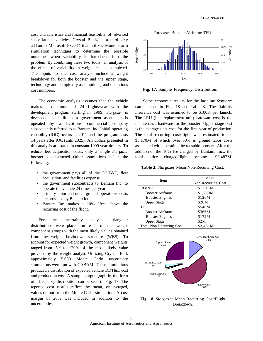cost characteristics and financial feasibility of advanced space launch vehicles. Crystal Ball© is a third-party add-on to Microsoft Excel© that utilizes Monte Carlo simulation techniques to determine the possible outcomes when variability is introduced into the problem. By combining these two tools, an analysis of the effects of variability in weight can be completed. The inputs to the cost analyst include a weight breakdown for both the booster and the upper stage, technology and complexity assumptions, and operations cost numbers.

The economic analysis assumes that the vehicle makes a maximum of 24 flights/year with the development program starting in 1999. *Stargazer* is developed and built as a government asset, but is operated by a fictitious commercial company subsequently referred to as Bantam, Inc. Initial operating capability (IOC) occurs in 2011 and the program lasts 14 years after IOC (until 2025). All dollars presented in this analysis are stated in constant 1999 year dollars. To reduce fleet acquisition costs, only a single *Stargazer* booster is constructed. Other assumptions include the following,

- the government pays all of the DDT&E, fleet acquisition, and facilities expense.
- the government subcontracts to Bantam Inc. to operate the vehicle 24 times per year.
- primary labor and other ground operations costs are provided by Bantam Inc.
- Bantam Inc. makes a 10% "fee" above the recurring cost of the flight.

For the uncertainty analysis, triangular distributions were placed on each of the weight component groups with the most likely values obtained from the weight breakdown structure (WBS). To account for expected weight growth, component weights ranged from  $-5\%$  to  $+20\%$  of the most likely value provided by the weight analyst. Utilizing Crystal Ball, approximately 5,000 Monte Carlo uncertainty simulations were run with CABAM. These simulations produced a distribution of expected vehicle DDT&E cost and production cost. A sample output graph in the form of a frequency distribution can be seen in Fig. 17. The reported cost results reflect the mean, or averaged, values output from the Monte Carlo simulation. A cost margin of 20% was included in addition to the uncertainties.

Forecast: Booster Airframe TFU



**Fig. 17.** Sample Frequency Distribution.

Some economic results for the baseline *Stargazer* can be seen in Fig. 18 and Table 3. The liability insurance cost was assumed to be \$100K per launch. The LRU (line replacement unit) hardware cost is the maintenance hardware for the booster. Upper stage cost is the average unit cost for the first year of production. The total recurring cost/flight was estimated to be \$3.170M of which over 50% is ground labor costs associated with operating the reusable booster. After the addition of the 10% fee charged by Bantam, Inc., the total price charged/flight becomes \$3.487M,

**Table 3.** *Stargazer* Mean Non-Recurring Cost.

| <b>Item</b>                     | Mean<br>Non-Recurring Cost |  |
|---------------------------------|----------------------------|--|
| DDT&E                           | \$1,911M                   |  |
| <b>Booster Airframe</b>         | \$1,759M                   |  |
| <b>Booster Engines</b>          | \$126M                     |  |
| <b>Upper Stage</b>              | \$26M                      |  |
| TFU                             | \$540M                     |  |
| <b>Booster Airframe</b>         | \$366M                     |  |
| <b>Booster Engines</b>          | \$172M                     |  |
| <b>Upper Stage</b>              | \$2M                       |  |
| <b>Total Non-Recurring Cost</b> | \$2.451M                   |  |



**Fig. 18.** *Stargazer* Mean Recurring Cost/Flight Breakdown.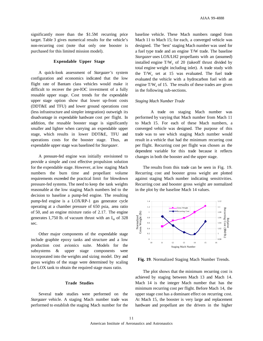significantly more than the \$1.5M recurring price target. Table 3 gives numerical results for the vehicle's non-recurring cost (note that only one booster is purchased for this limited mission model).

# **Expendable Upper Stage**

A quick-look assessment of *Stargazer's* system configuration and economics indicated that the low flight rate of Bantam class vehicles would make it difficult to recover the pre-IOC investment of a fully reusable upper stage. Cost trends for the expendable upper stage option show that lower up-front costs (DDT&E and TFU) and lower ground operations cost (less infrastructure and simpler integration) outweigh its disadvantage in expendable hardware cost per flight. In addition, the reusable booster stage is significantly smaller and lighter when carrying an expendable upper stage, which results in lower DDT&E, TFU and operations costs for the booster stage. Thus, an expendable upper stage was baselined for *Stargazer*.

A pressure-fed engine was initially envisioned to provide a simple and cost effective propulsion solution for the expendable stage. However, at low staging Mach numbers the burn time and propellant volume requirements exceeded the practical limit for blowdown pressure-fed systems. The need to keep the tank weights reasonable at the low staging Mach numbers led to the decision to baseline a pump-fed engine. The resulting pump-fed engine is a LOX/RP-1 gas generator cycle operating at a chamber pressure of 650 psia, area ratio of 50, and an engine mixture ratio of 2.17. The engine generates 1,750 lb. of vacuum thrust with an  $I_{sp}$  of 328 sec.

Other major components of the expendable stage include graphite epoxy tanks and structure and a low production cost avionics suite. Models for the subsystems & upper stage components were incorporated into the weights and sizing model. Dry and gross weights of the stage were determined by scaling the LOX tank to obtain the required stage mass ratio.

### **Trade Studies**

Several trade studies were performed on the *Stargazer* vehicle. A staging Mach number trade was performed to establish the staging Mach number for the baseline vehicle. These Mach numbers ranged from Mach 11 to Mach 15; for each, a converged vehicle was designed. The 'best' staging Mach number was used for a fuel type trade and an engine T/W trade. The baseline *Stargazer* uses LOX/LH2 propellants with an (assumed) installed engine  $T/W_e$  of 20 (takeoff thrust divided by total engine weight including inlet). A trade study with the  $T/W_e$  set at 15 was evaluated. The fuel trade evaluated the vehicle with a hydrocarbon fuel with an engine  $T/W_e$  of 15. The results of these trades are given in the following sub-sections.

#### *Staging Mach Number Trade*

A trade on staging Mach number was performed by varying that Mach number from Mach 11 to Mach 15. For each of these Mach numbers, a converged vehicle was designed. The purpose of this trade was to see which staging Mach number would result in a vehicle that had the minimum recurring cost per flight. Recurring cost per flight was chosen as the dependent variable for this trade because it reflects changes in both the booster and the upper stage.

The results from this trade can be seen in Fig. 19. Recurring cost and booster gross weight are plotted against staging Mach number indicating sensitivities. Recurring cost and booster gross weight are normalized in the plot by the baseline Mach 14 values.



**Fig. 19**. Normalized Staging Mach Number Trends.

The plot shows that the minimum recurring cost is achieved by staging between Mach 13 and Mach 14. Mach 14 is the integer Mach number that has the minimum recurring cost per flight. Before Mach 14, the upper stage cost has a dominant effect on recurring cost. At Mach 15, the booster is very large and replacement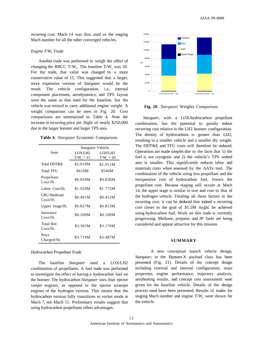recurring cost. Mach 14 was thus used as the staging Mach number for all the other converged vehicles.

# *Engine T/W*<sub>*c*</sub> *Trade*

Another trade was performed to weigh the effect of changing the RBCC T/W<sub>e</sub>. The baseline T/W<sub>e</sub> was 20. For the trade, that value was changed to a more conservative value of 15. This suggested that a larger, more expensive version of *Stargazer* would be the result. The vehicle configuration, i.e, internal component placement, aerodynamics, and TPS layout were the same as that used for the baseline, but the vehicle was resized to carry additional engine weight. A weight comparison can be seen in Fig. 20. Cost comparisons are summarized in Table 4. Note the increase in recurring price per flight of nearly \$250,000 due to the larger booster and larger TPS area.

|  |  |  | Table 4. Stargazer Economic Comparison. |
|--|--|--|-----------------------------------------|
|--|--|--|-----------------------------------------|

|                                  | Stargazer Vehicle |              |  |
|----------------------------------|-------------------|--------------|--|
| Item                             | LOX/LH2           | LOX/LH2      |  |
|                                  | $T/W_e = 15$      | $T/W_e = 20$ |  |
| Total DDT&E                      | \$2,018M          | \$1,911M     |  |
| <b>Total TFU</b>                 | \$610M            | \$540M       |  |
| Propellant<br>Cost/fft.          | \$0.034M          | \$0.030M     |  |
| Labor Cost/flt.                  | \$1.929M          | \$1.775M     |  |
| <b>LRU</b> Hardware<br>Cost/fft. | \$0.491M          | \$0.452M     |  |
| Upper Stage/flt.                 | \$0.827M          | \$0.813M     |  |
| Insurance<br>$Cost/fft$ .        | \$0.100M          | \$0.100M     |  |
| Total Rec.<br>Cost/fft.          | \$3.381M          | \$3.170M     |  |
| Price<br>Charged/flt.            | \$3.719M          | \$3.487M     |  |

#### *Hydrocarbon Propellant Trade*

The baseline *Stargazer* used a LOX/LH2 combination of propellants. A fuel trade was performed to investigate the effect of having a hydrocarbon fuel on the booster. The hydrocarbon *Stargazer* uses four ejector *ramjet* engines, as opposed to the ejector scramjet engines of the hydrogen version. This means that the hydrocarbon version fully transitions to rocket mode at Mach 7, not Mach 11. Preliminary results suggest that using hydrocarbon propellants offers advantages.



**Fig. 20**. *Stargazer* Weights Comparison.

*Stargazer*, with a LOX/hydrocarbon propellant combination, has the potential to greatly reduce recurring cost relative to the LH2 booster configuration. The density of hydrocarbons is greater than LH2, resulting in a smaller vehicle and a smaller dry weight. The DDT&E and TFU costs will therefore be reduced. Operations are made simpler due to the facts that 1) the fuel is not cryogenic and 2) the vehicle's TPS wetted area is smaller. This *significantly* reduces labor and materials costs when assessed by the AATe tool. The combination of the vehicle using less propellant and the inexpensive cost of hydrocarbon fuel, lowers the propellant cost. Because staging still occurs at Mach 14, the upper stage is similar in size and cost to that of the hydrogen vehicle. Totaling all these factors in the recurring cost, it can be deduced that indeed a recurring cost closer to the goal of \$1.5M might be achieved using hydrocarbon fuel. Work on this trade is currently progressing. Methane, propane, and JP fuels are being considered and appear attractive for this mission.

#### **SUMMARY**

A new conceptual launch vehicle design, *Stargazer*, in the Bantam-X payload class has been presented (Fig. 21). Details of the concept design including external and internal configuration, mass properties, engine performance, trajectory analysis, aeroheating results, and concept cost assessment were given for the baseline vehicle. Details of the design process used have been presented. Results of trades for staging Mach number and engine  $T/W_e$  were shown for the vehicle.